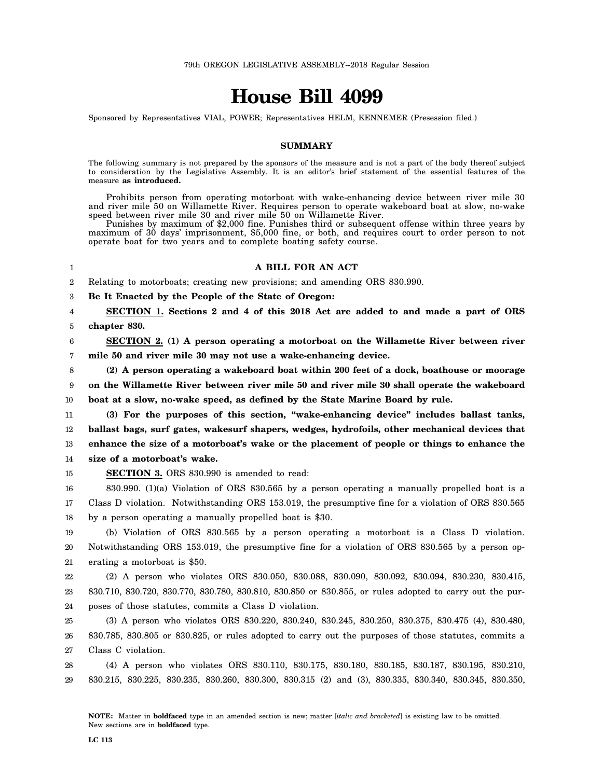# **House Bill 4099**

Sponsored by Representatives VIAL, POWER; Representatives HELM, KENNEMER (Presession filed.)

## **SUMMARY**

The following summary is not prepared by the sponsors of the measure and is not a part of the body thereof subject to consideration by the Legislative Assembly. It is an editor's brief statement of the essential features of the measure **as introduced.**

Prohibits person from operating motorboat with wake-enhancing device between river mile 30 and river mile 50 on Willamette River. Requires person to operate wakeboard boat at slow, no-wake speed between river mile 30 and river mile 50 on Willamette River.

Punishes by maximum of \$2,000 fine. Punishes third or subsequent offense within three years by maximum of 30 days' imprisonment, \$5,000 fine, or both, and requires court to order person to not operate boat for two years and to complete boating safety course.

### 1

#### **A BILL FOR AN ACT**

2 Relating to motorboats; creating new provisions; and amending ORS 830.990.

3 **Be It Enacted by the People of the State of Oregon:**

4 5 **SECTION 1. Sections 2 and 4 of this 2018 Act are added to and made a part of ORS chapter 830.**

6 7 **SECTION 2. (1) A person operating a motorboat on the Willamette River between river mile 50 and river mile 30 may not use a wake-enhancing device.**

8 **(2) A person operating a wakeboard boat within 200 feet of a dock, boathouse or moorage**

9 **on the Willamette River between river mile 50 and river mile 30 shall operate the wakeboard**

10 **boat at a slow, no-wake speed, as defined by the State Marine Board by rule.**

11 12 13 14 **(3) For the purposes of this section, "wake-enhancing device" includes ballast tanks, ballast bags, surf gates, wakesurf shapers, wedges, hydrofoils, other mechanical devices that enhance the size of a motorboat's wake or the placement of people or things to enhance the size of a motorboat's wake.**

15

**SECTION 3.** ORS 830.990 is amended to read:

16 17 18 830.990. (1)(a) Violation of ORS 830.565 by a person operating a manually propelled boat is a Class D violation. Notwithstanding ORS 153.019, the presumptive fine for a violation of ORS 830.565 by a person operating a manually propelled boat is \$30.

19 20 21 (b) Violation of ORS 830.565 by a person operating a motorboat is a Class D violation. Notwithstanding ORS 153.019, the presumptive fine for a violation of ORS 830.565 by a person operating a motorboat is \$50.

22 23 24 (2) A person who violates ORS 830.050, 830.088, 830.090, 830.092, 830.094, 830.230, 830.415, 830.710, 830.720, 830.770, 830.780, 830.810, 830.850 or 830.855, or rules adopted to carry out the purposes of those statutes, commits a Class D violation.

25 26 27 (3) A person who violates ORS 830.220, 830.240, 830.245, 830.250, 830.375, 830.475 (4), 830.480, 830.785, 830.805 or 830.825, or rules adopted to carry out the purposes of those statutes, commits a Class C violation.

28 29 (4) A person who violates ORS 830.110, 830.175, 830.180, 830.185, 830.187, 830.195, 830.210, 830.215, 830.225, 830.235, 830.260, 830.300, 830.315 (2) and (3), 830.335, 830.340, 830.345, 830.350,